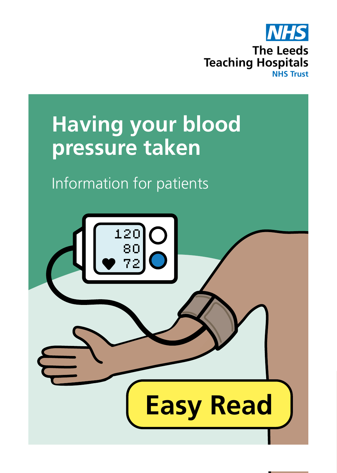

## **Having your blood pressure taken**

## Information for patients

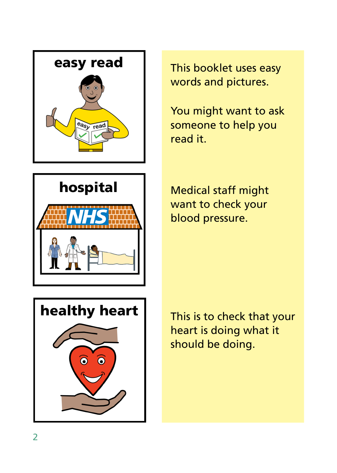



You might want to ask someone to help you read it.







This is to check that your heart is doing what it should be doing.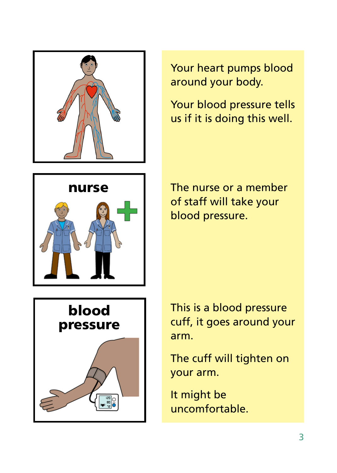



Your blood pressure tells us if it is doing this well.



The nurse or a member of staff will take your blood pressure.



This is a blood pressure cuff, it goes around your arm.

The cuff will tighten on your arm.

It might be uncomfortable.